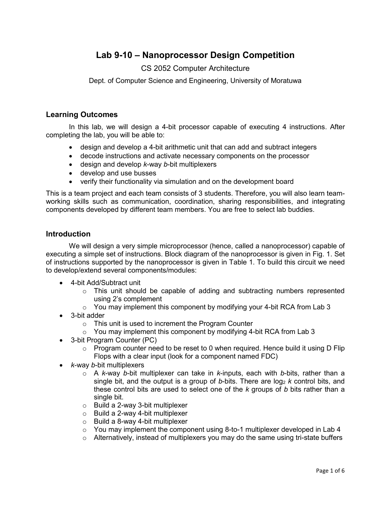# **Lab 9-10 – Nanoprocessor Design Competition**

## CS 2052 Computer Architecture

Dept. of Computer Science and Engineering, University of Moratuwa

#### **Learning Outcomes**

In this lab, we will design a 4-bit processor capable of executing 4 instructions. After completing the lab, you will be able to:

- design and develop a 4-bit arithmetic unit that can add and subtract integers
- decode instructions and activate necessary components on the processor
- design and develop *k*-way *b*-bit multiplexers
- develop and use busses
- verify their functionality via simulation and on the development board

This is a team project and each team consists of 3 students. Therefore, you will also learn teamworking skills such as communication, coordination, sharing responsibilities, and integrating components developed by different team members. You are free to select lab buddies.

#### **Introduction**

We will design a very simple microprocessor (hence, called a nanoprocessor) capable of executing a simple set of instructions. Block diagram of the nanoprocessor is given in Fig. 1. Set of instructions supported by the nanoprocessor is given in Table 1. To build this circuit we need to develop/extend several components/modules:

- 4-bit Add/Subtract unit
	- $\circ$  This unit should be capable of adding and subtracting numbers represented using 2's complement
	- $\circ$  You may implement this component by modifying your 4-bit RCA from Lab 3
- 3-bit adder
	- o This unit is used to increment the Program Counter
	- $\circ$  You may implement this component by modifying 4-bit RCA from Lab 3
- 3-bit Program Counter (PC)
	- $\circ$  Program counter need to be reset to 0 when required. Hence build it using D Flip Flops with a clear input (look for a component named FDC)
- *k*-way *b*-bit multiplexers
	- o A *k*-way *b*-bit multiplexer can take in *k*-inputs, each with *b*-bits, rather than a single bit, and the output is a group of b-bits. There are  $log_2 k$  control bits, and these control bits are used to select one of the *k* groups of *b* bits rather than a single bit.
	- o Build a 2-way 3-bit multiplexer
	- $\circ$  Build a 2-way 4-bit multiplexer
	- o Build a 8-way 4-bit multiplexer
	- $\circ$  You may implement the component using 8-to-1 multiplexer developed in Lab 4
	- $\circ$  Alternatively, instead of multiplexers you may do the same using tri-state buffers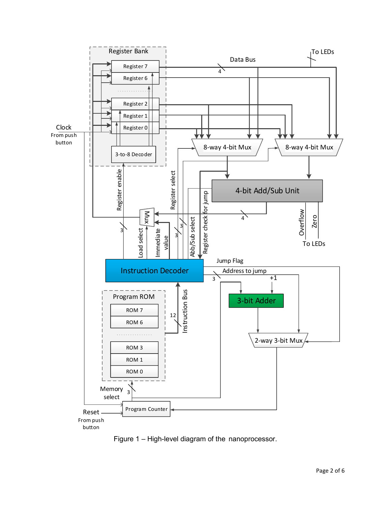

Figure 1 – High-level diagram of the nanoprocessor.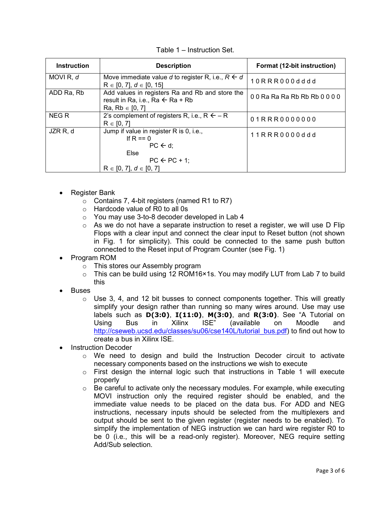| <b>Instruction</b>   | <b>Description</b>                                                                                                    | Format (12-bit instruction) |
|----------------------|-----------------------------------------------------------------------------------------------------------------------|-----------------------------|
| MOVI <sub>R, d</sub> | Move immediate value d to register R, i.e., $R \leftarrow d$<br>$R \in [0, 7], d \in [0, 15]$                         | 10RRR000dddd                |
| ADD Ra, Rb           | Add values in registers Ra and Rb and store the<br>result in Ra, i.e., Ra $\leftarrow$ Ra + Rb<br>$Ra, Rb \in [0, 7]$ | 00 Ra Ra Ra Rb Rb Rb 0000   |
| <b>NEGR</b>          | 2's complement of registers R, i.e., $R \leftarrow R$<br>$R \in [0, 7]$                                               | 01RRR0000000                |
| JZR R, d             | Jump if value in register R is 0, i.e.,<br>If R == $0$<br>$PC \leftarrow d$ :                                         | 11RRR0000ddd                |
|                      | Else<br>$PC \leftarrow PC + 1$ ;<br>$R \in [0, 7], d \in [0, 7]$                                                      |                             |

Table 1 – Instruction Set.

- Register Bank
	- $\circ$  Contains 7, 4-bit registers (named R1 to R7)
	- o Hardcode value of R0 to all 0s
	- o You may use 3-to-8 decoder developed in Lab 4
	- $\circ$  As we do not have a separate instruction to reset a register, we will use D Flip Flops with a clear input and connect the clear input to Reset button (not shown in Fig. 1 for simplicity). This could be connected to the same push button connected to the Reset input of Program Counter (see Fig. 1)
- Program ROM
	- o This stores our Assembly program
	- o This can be build using 12 ROM16×1s. You may modify LUT from Lab 7 to build this
- **Buses** 
	- $\circ$  Use 3, 4, and 12 bit busses to connect components together. This will greatly simplify your design rather than running so many wires around. Use may use labels such as **D(3:0)**, **I(11:0)**, **M(3:0)**, and **R(3:0)**. See "A Tutorial on Using Bus in Xilinx ISE" (available on Moodle and [http://cseweb.ucsd.edu/classes/su06/cse140L/tutorial\\_bus.pdf\)](http://cseweb.ucsd.edu/classes/su06/cse140L/tutorial_bus.pdf) to find out how to create a bus in Xilinx ISE.
- **Instruction Decoder** 
	- o We need to design and build the Instruction Decoder circuit to activate necessary components based on the instructions we wish to execute
	- $\circ$  First design the internal logic such that instructions in Table 1 will execute properly
	- $\circ$  Be careful to activate only the necessary modules. For example, while executing MOVI instruction only the required register should be enabled, and the immediate value needs to be placed on the data bus. For ADD and NEG instructions, necessary inputs should be selected from the multiplexers and output should be sent to the given register (register needs to be enabled). To simplify the implementation of NEG instruction we can hard wire register R0 to be 0 (i.e., this will be a read-only register). Moreover, NEG require setting Add/Sub selection.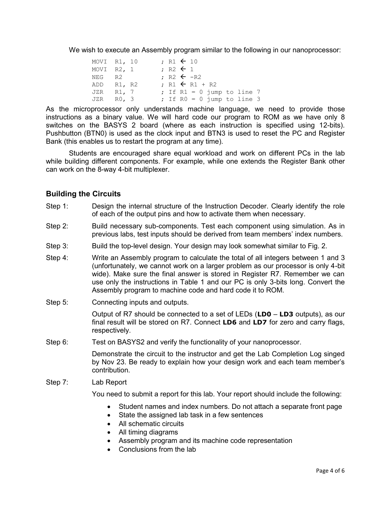We wish to execute an Assembly program similar to the following in our nanoprocessor:

| MOVI R1, 10    |  |  | ; R1 $\leftarrow$ 10  |  |                           |                              |  |
|----------------|--|--|-----------------------|--|---------------------------|------------------------------|--|
| MOVI R2, 1     |  |  | $: R2 \leftarrow 1$   |  |                           |                              |  |
| NEG R2         |  |  | : R2 $\leftarrow$ -R2 |  |                           |                              |  |
| ADD R1, R2     |  |  |                       |  | $: R1 \leftarrow R1 + R2$ |                              |  |
| JZR R1, 7      |  |  |                       |  |                           | ; If $R1 = 0$ jump to line 7 |  |
| $JZR$ $R0$ , 3 |  |  |                       |  |                           | ; If $R0 = 0$ jump to line 3 |  |

As the microprocessor only understands machine language, we need to provide those instructions as a binary value. We will hard code our program to ROM as we have only 8 switches on the BASYS 2 board (where as each instruction is specified using 12-bits). Pushbutton (BTN0) is used as the clock input and BTN3 is used to reset the PC and Register Bank (this enables us to restart the program at any time).

Students are encouraged share equal workload and work on different PCs in the lab while building different components. For example, while one extends the Register Bank other can work on the 8-way 4-bit multiplexer.

### **Building the Circuits**

- Step 1: Design the internal structure of the Instruction Decoder. Clearly identify the role of each of the output pins and how to activate them when necessary.
- Step 2: Build necessary sub-components. Test each component using simulation. As in previous labs, test inputs should be derived from team members' index numbers.
- Step 3: Build the top-level design. Your design may look somewhat similar to Fig. 2.
- Step 4: Write an Assembly program to calculate the total of all integers between 1 and 3 (unfortunately, we cannot work on a larger problem as our processor is only 4-bit wide). Make sure the final answer is stored in Register R7. Remember we can use only the instructions in Table 1 and our PC is only 3-bits long. Convert the Assembly program to machine code and hard code it to ROM.
- Step 5: Connecting inputs and outputs.

Output of R7 should be connected to a set of LEDs (**LD0** – **LD3** outputs), as our final result will be stored on R7. Connect **LD6** and **LD7** for zero and carry flags, respectively.

Step 6: Test on BASYS2 and verify the functionality of your nanoprocessor.

Demonstrate the circuit to the instructor and get the Lab Completion Log singed by Nov 23. Be ready to explain how your design work and each team member's contribution.

Step 7: Lab Report

You need to submit a report for this lab. Your report should include the following:

- Student names and index numbers. Do not attach a separate front page
- State the assigned lab task in a few sentences
- All schematic circuits
- All timing diagrams
- Assembly program and its machine code representation
- Conclusions from the lab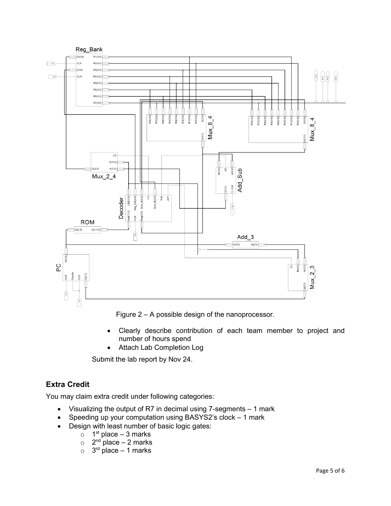

Figure 2 – A possible design of the nanoprocessor.

- Clearly describe contribution of each team member to project and number of hours spend
- Attach Lab Completion Log

Submit the lab report by Nov 24.

# **Extra Credit**

You may claim extra credit under following categories:

- Visualizing the output of R7 in decimal using 7-segments 1 mark
- Speeding up your computation using BASYS2's clock 1 mark
- Design with least number of basic logic gates:
	- $\circ$  1<sup>st</sup> place 3 marks
	- $\circ$  2<sup>nd</sup> place 2 marks
	- $\circ$  3<sup>rd</sup> place 1 marks